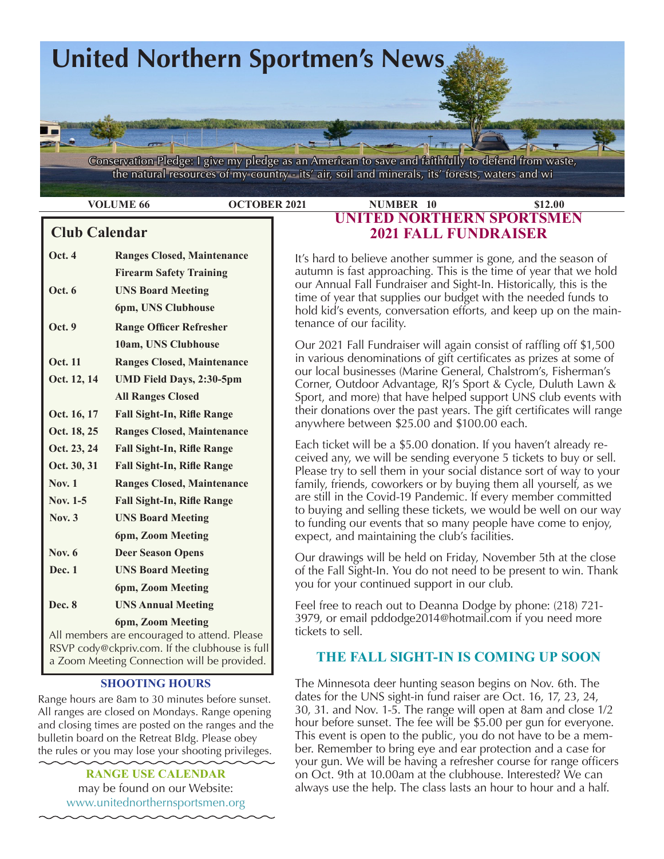

the natural resources of my country - its' air, soil and minerals, its' forests, waters and wi

# **Club Calendar**

| Oct. 4                                       | <b>Ranges Closed, Maintenance</b> |  |  |
|----------------------------------------------|-----------------------------------|--|--|
|                                              | <b>Firearm Safety Training</b>    |  |  |
| <b>Oct.</b> 6                                | <b>UNS Board Meeting</b>          |  |  |
|                                              | 6pm, UNS Clubhouse                |  |  |
| Oct. 9                                       | <b>Range Officer Refresher</b>    |  |  |
|                                              | 10am, UNS Clubhouse               |  |  |
| <b>Oct. 11</b>                               | <b>Ranges Closed, Maintenance</b> |  |  |
| Oct. 12, 14                                  | <b>UMD Field Days, 2:30-5pm</b>   |  |  |
|                                              | <b>All Ranges Closed</b>          |  |  |
| Oct. 16, 17                                  | <b>Fall Sight-In, Rifle Range</b> |  |  |
| Oct. 18, 25                                  | <b>Ranges Closed, Maintenance</b> |  |  |
| Oct. 23, 24                                  | <b>Fall Sight-In, Rifle Range</b> |  |  |
| Oct. 30, 31                                  | <b>Fall Sight-In, Rifle Range</b> |  |  |
| Nov. $1$                                     | <b>Ranges Closed, Maintenance</b> |  |  |
| Nov. 1-5                                     | <b>Fall Sight-In, Rifle Range</b> |  |  |
| Nov. $3$                                     | <b>UNS Board Meeting</b>          |  |  |
|                                              | 6pm, Zoom Meeting                 |  |  |
| <b>Nov. 6</b>                                | <b>Deer Season Opens</b>          |  |  |
| Dec. 1                                       | <b>UNS Board Meeting</b>          |  |  |
|                                              | 6pm, Zoom Meeting                 |  |  |
| Dec. 8                                       | <b>UNS Annual Meeting</b>         |  |  |
|                                              | 6pm, Zoom Meeting                 |  |  |
| All members are encouraged to attend. Please |                                   |  |  |

 RSVP cody@ckpriv.com. If the clubhouse is full a Zoom Meeting Connection will be provided.

### **SHOOTING HOURS**

Range hours are 8am to 30 minutes before sunset. All ranges are closed on Mondays. Range opening and closing times are posted on the ranges and the bulletin board on the Retreat Bldg. Please obey the rules or you may lose your shooting privileges.

> **RANGE USE CALENDAR**  may be found on our Website: [www.unitednorthernsportsmen.org](http://www.unitednorthernsportsmen.org)

## **VOLUME 66 OCTOBER 2021 NUMBER 10 \$12.00 UNITED NORTHERN SPORTSMEN 2021 FALL FUNDRAISER**

It's hard to believe another summer is gone, and the season of autumn is fast approaching. This is the time of year that we hold our Annual Fall Fundraiser and Sight-In. Historically, this is the time of year that supplies our budget with the needed funds to hold kid's events, conversation efforts, and keep up on the maintenance of our facility.

Our 2021 Fall Fundraiser will again consist of raffling off \$1,500 in various denominations of gift certificates as prizes at some of our local businesses (Marine General, Chalstrom's, Fisherman's Corner, Outdoor Advantage, RJ's Sport & Cycle, Duluth Lawn & Sport, and more) that have helped support UNS club events with their donations over the past years. The gift certificates will range anywhere between \$25.00 and \$100.00 each.

Each ticket will be a \$5.00 donation. If you haven't already received any, we will be sending everyone 5 tickets to buy or sell. Please try to sell them in your social distance sort of way to your family, friends, coworkers or by buying them all yourself, as we are still in the Covid-19 Pandemic. If every member committed to buying and selling these tickets, we would be well on our way to funding our events that so many people have come to enjoy, expect, and maintaining the club's facilities.

Our drawings will be held on Friday, November 5th at the close of the Fall Sight-In. You do not need to be present to win. Thank you for your continued support in our club.

Feel free to reach out to Deanna Dodge by phone: (218) 721- 3979, or email pddodge2014@hotmail.com if you need more tickets to sell.

# **THE FALL SIGHT-IN IS COMING UP SOON**

The Minnesota deer hunting season begins on Nov. 6th. The dates for the UNS sight-in fund raiser are Oct. 16, 17, 23, 24, 30, 31. and Nov. 1-5. The range will open at 8am and close 1/2 hour before sunset. The fee will be \$5.00 per gun for everyone. This event is open to the public, you do not have to be a member. Remember to bring eye and ear protection and a case for your gun. We will be having a refresher course for range officers on Oct. 9th at 10.00am at the clubhouse. Interested? We can always use the help. The class lasts an hour to hour and a half.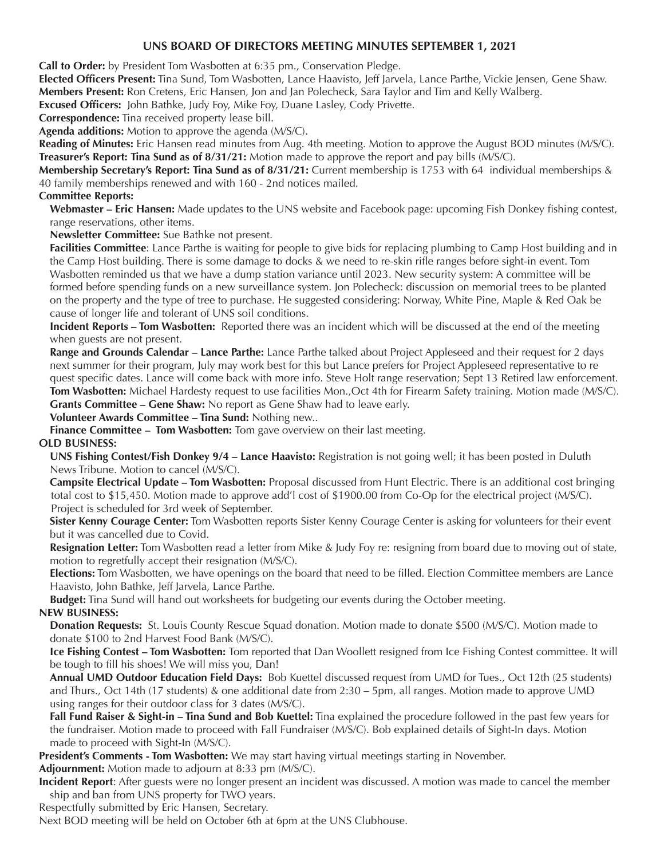### **UNS BOARD OF DIRECTORS MEETING MINUTES SEPTEMBER 1, 2021**

**Call to Order:** by President Tom Wasbotten at 6:35 pm., Conservation Pledge.

**Elected Officers Present:** Tina Sund, Tom Wasbotten, Lance Haavisto, Jeff Jarvela, Lance Parthe, Vickie Jensen, Gene Shaw. **Members Present:** Ron Cretens, Eric Hansen, Jon and Jan Polecheck, Sara Taylor and Tim and Kelly Walberg.

**Excused Officers:** John Bathke, Judy Foy, Mike Foy, Duane Lasley, Cody Privette.

**Correspondence:** Tina received property lease bill.

**Agenda additions:** Motion to approve the agenda (M/S/C).

**Reading of Minutes:** Eric Hansen read minutes from Aug. 4th meeting. Motion to approve the August BOD minutes (M/S/C). **Treasurer's Report: Tina Sund as of 8/31/21:** Motion made to approve the report and pay bills (M/S/C).

**Membership Secretary's Report: Tina Sund as of 8/31/21:** Current membership is 1753 with 64 individual memberships & 40 family memberships renewed and with 160 - 2nd notices mailed.

### **Committee Reports:**

**Webmaster – Eric Hansen:** Made updates to the UNS website and Facebook page: upcoming Fish Donkey fishing contest, range reservations, other items.

**Newsletter Committee:** Sue Bathke not present.

**Facilities Committee**: Lance Parthe is waiting for people to give bids for replacing plumbing to Camp Host building and in the Camp Host building. There is some damage to docks & we need to re-skin rifle ranges before sight-in event. Tom Wasbotten reminded us that we have a dump station variance until 2023. New security system: A committee will be formed before spending funds on a new surveillance system. Jon Polecheck: discussion on memorial trees to be planted on the property and the type of tree to purchase. He suggested considering: Norway, White Pine, Maple & Red Oak be cause of longer life and tolerant of UNS soil conditions.

**Incident Reports – Tom Wasbotten:** Reported there was an incident which will be discussed at the end of the meeting when guests are not present.

**Range and Grounds Calendar – Lance Parthe:** Lance Parthe talked about Project Appleseed and their request for 2 days next summer for their program, July may work best for this but Lance prefers for Project Appleseed representative to re quest specific dates. Lance will come back with more info. Steve Holt range reservation; Sept 13 Retired law enforcement. **Tom Wasbotten:** Michael Hardesty request to use facilities Mon.,Oct 4th for Firearm Safety training. Motion made (M/S/C). **Grants Committee – Gene Shaw:** No report as Gene Shaw had to leave early.

**Volunteer Awards Committee – Tina Sund:** Nothing new..

**Finance Committee – Tom Wasbotten:** Tom gave overview on their last meeting.

### **OLD BUSINESS:**

**UNS Fishing Contest/Fish Donkey 9/4 – Lance Haavisto:** Registration is not going well; it has been posted in Duluth News Tribune. Motion to cancel (M/S/C).

**Campsite Electrical Update – Tom Wasbotten:** Proposal discussed from Hunt Electric. There is an additional cost bringing total cost to \$15,450. Motion made to approve add'l cost of \$1900.00 from Co-Op for the electrical project (M/S/C). Project is scheduled for 3rd week of September.

**Sister Kenny Courage Center:** Tom Wasbotten reports Sister Kenny Courage Center is asking for volunteers for their event but it was cancelled due to Covid.

**Resignation Letter:** Tom Wasbotten read a letter from Mike & Judy Foy re: resigning from board due to moving out of state, motion to regretfully accept their resignation (M/S/C).

**Elections:** Tom Wasbotten, we have openings on the board that need to be filled. Election Committee members are Lance Haavisto, John Bathke, Jeff Jarvela, Lance Parthe.

**Budget:** Tina Sund will hand out worksheets for budgeting our events during the October meeting.

### **NEW BUSINESS:**

**Donation Requests:** St. Louis County Rescue Squad donation. Motion made to donate \$500 (M/S/C). Motion made to donate \$100 to 2nd Harvest Food Bank (M/S/C).

**Ice Fishing Contest – Tom Wasbotten:** Tom reported that Dan Woollett resigned from Ice Fishing Contest committee. It will be tough to fill his shoes! We will miss you, Dan!

**Annual UMD Outdoor Education Field Days:** Bob Kuettel discussed request from UMD for Tues., Oct 12th (25 students) and Thurs., Oct 14th (17 students) & one additional date from 2:30 – 5pm, all ranges. Motion made to approve UMD using ranges for their outdoor class for 3 dates (M/S/C).

**Fall Fund Raiser & Sight-in – Tina Sund and Bob Kuettel:** Tina explained the procedure followed in the past few years for the fundraiser. Motion made to proceed with Fall Fundraiser (M/S/C). Bob explained details of Sight-In days. Motion made to proceed with Sight-In (M/S/C).

**President's Comments - Tom Wasbotten:** We may start having virtual meetings starting in November. **Adjournment:** Motion made to adjourn at 8:33 pm (M/S/C).

**Incident Report**: After guests were no longer present an incident was discussed. A motion was made to cancel the member ship and ban from UNS property for TWO years.

Respectfully submitted by Eric Hansen, Secretary.

Next BOD meeting will be held on October 6th at 6pm at the UNS Clubhouse.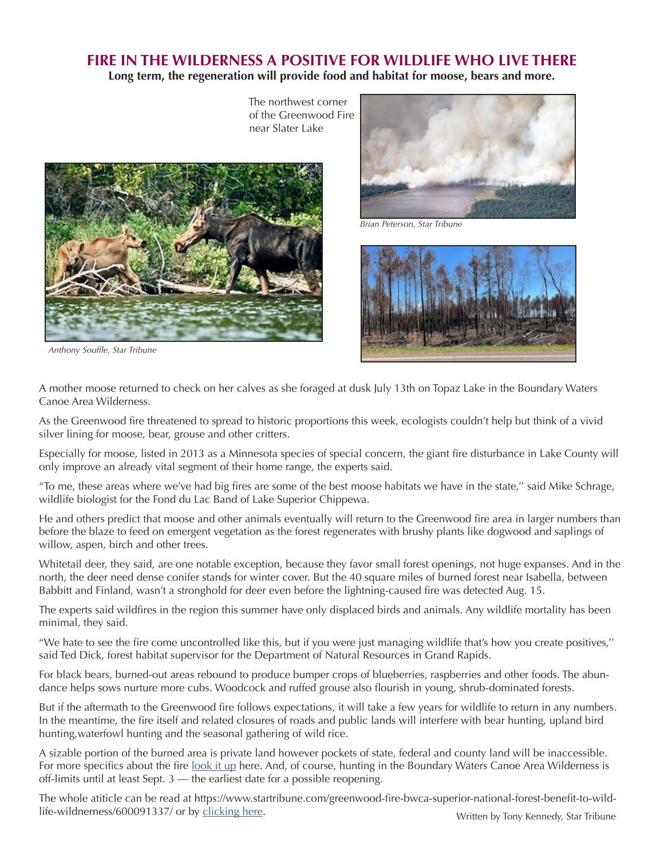# FIRE IN THE WILDERNESS A POSITIVE FOR WILDLIFE WHO LIVE THERE **Long term, the regeneration will provide food and habitat for moose, bears and more.**

 The northwest corner of the Greenwood Fire



 *Anthony Souffle, Star Tribune*





A mother moose returned to check on her calves as she foraged at dusk July 13th on Topaz Lake in the Boundary Waters Canoe Area Wilderness.

As the Greenwood fire threatened to spread to historic proportions this week, ecologists couldn't help but think of a vivid silver lining for moose, bear, grouse and other critters.

Especially for moose, listed in 2013 as a Minnesota species of special concern, the giant fire disturbance in Lake County will only improve an already vital segment of their home range, the experts said.

"To me, these areas where we've had big fires are some of the best moose habitats we have in the state,'' said Mike Schrage, wildlife biologist for the Fond du Lac Band of Lake Superior Chippewa.

He and others predict that moose and other animals eventually will return to the Greenwood fire area in larger numbers than before the blaze to feed on emergent vegetation as the forest regenerates with brushy plants like dogwood and saplings of willow, aspen, birch and other trees.

Whitetail deer, they said, are one notable exception, because they favor small forest openings, not huge expanses. And in the north, the deer need dense conifer stands for winter cover. But the 40 square miles of burned forest near Isabella, between Babbitt and Finland, wasn't a stronghold for deer even before the lightning-caused fire was detected Aug. 15.

The experts said wildfires in the region this summer have only displaced birds and animals. Any wildlife mortality has been minimal, they said.

"We hate to see the fire come uncontrolled like this, but if you were just managing wildlife that's how you create positives,'' said Ted Dick, forest habitat supervisor for the Department of Natural Resources in Grand Rapids.

For black bears, burned-out areas rebound to produce bumper crops of blueberries, raspberries and other foods. The abundance helps sows nurture more cubs. Woodcock and ruffed grouse also flourish in young, shrub-dominated forests.

But if the aftermath to the Greenwood fire follows expectations, it will take a few years for wildlife to return in any numbers. In the meantime, the fire itself and related closures of roads and public lands will interfere with bear hunting, upland bird hunting,waterfowl hunting and the seasonal gathering of wild rice.

A sizable portion of the burned area is private land however pockets of state, federal and county land will be inaccessible. For more specifics about the fire [look it up](https://www.startribune.com/in-northern-minnesota-s-greenwood-fire-questions-about-distant-landowner-s-land-management/600090963/) here. And, of course, hunting in the Boundary Waters Canoe Area Wilderness is off-limits until at least Sept. 3 — the earliest date for a possible reopening.

The whole atiticle can be read at https://www.startribune.com/greenwood-fire-bwca-superior-national-forest-benefit-to-wildlife-wildnerness/600091337/ or by [clicking here](https://www.startribune.com/greenwood-fire-bwca-superior-national-forest-benefit-to-wildlife-wildnerness/600091337/).<br>Written by Tony Kennedy, Star Tribune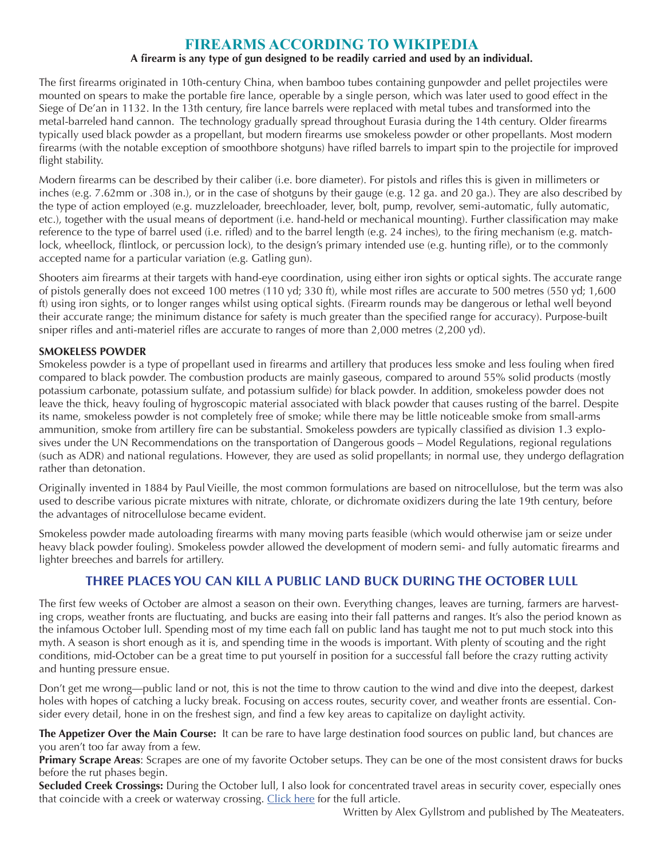# **FIREARMS ACCORDING TO WIKIPEDIA**

### **A firearm is any type of gun designed to be readily carried and used by an individual.**

The first firearms originated in 10th-century China, when bamboo tubes containing gunpowder and pellet projectiles were mounted on spears to make the portable fire lance, operable by a single person, which was later used to good effect in the Siege of De'an in 1132. In the 13th century, fire lance barrels were replaced with metal tubes and transformed into the metal-barreled hand cannon. The technology gradually spread throughout Eurasia during the 14th century. Older firearms typically used black powder as a propellant, but modern firearms use smokeless powder or other propellants. Most modern firearms (with the notable exception of smoothbore shotguns) have rifled barrels to impart spin to the projectile for improved flight stability.

Modern firearms can be described by their caliber (i.e. bore diameter). For pistols and rifles this is given in millimeters or inches (e.g. 7.62mm or .308 in.), or in the case of shotguns by their gauge (e.g. 12 ga. and 20 ga.). They are also described by the type of action employed (e.g. muzzleloader, breechloader, lever, bolt, pump, revolver, semi-automatic, fully automatic, etc.), together with the usual means of deportment (i.e. hand-held or mechanical mounting). Further classification may make reference to the type of barrel used (i.e. rifled) and to the barrel length (e.g. 24 inches), to the firing mechanism (e.g. matchlock, wheellock, flintlock, or percussion lock), to the design's primary intended use (e.g. hunting rifle), or to the commonly accepted name for a particular variation (e.g. Gatling gun).

Shooters aim firearms at their targets with hand-eye coordination, using either iron sights or optical sights. The accurate range of pistols generally does not exceed 100 metres (110 yd; 330 ft), while most rifles are accurate to 500 metres (550 yd; 1,600 ft) using iron sights, or to longer ranges whilst using optical sights. (Firearm rounds may be dangerous or lethal well beyond their accurate range; the minimum distance for safety is much greater than the specified range for accuracy). Purpose-built sniper rifles and anti-materiel rifles are accurate to ranges of more than 2,000 metres (2,200 yd).

#### **SMOKELESS POWDER**

Smokeless powder is a type of propellant used in firearms and artillery that produces less smoke and less fouling when fired compared to black powder. The combustion products are mainly gaseous, compared to around 55% solid products (mostly potassium carbonate, potassium sulfate, and potassium sulfide) for black powder. In addition, smokeless powder does not leave the thick, heavy fouling of hygroscopic material associated with black powder that causes rusting of the barrel. Despite its name, smokeless powder is not completely free of smoke; while there may be little noticeable smoke from small-arms ammunition, smoke from artillery fire can be substantial. Smokeless powders are typically classified as division 1.3 explosives under the UN Recommendations on the transportation of Dangerous goods – Model Regulations, regional regulations (such as ADR) and national regulations. However, they are used as solid propellants; in normal use, they undergo deflagration rather than detonation.

Originally invented in 1884 by Paul Vieille, the most common formulations are based on nitrocellulose, but the term was also used to describe various picrate mixtures with nitrate, chlorate, or dichromate oxidizers during the late 19th century, before the advantages of nitrocellulose became evident.

Smokeless powder made autoloading firearms with many moving parts feasible (which would otherwise jam or seize under heavy black powder fouling). Smokeless powder allowed the development of modern semi- and fully automatic firearms and lighter breeches and barrels for artillery.

# **THREE PLACES YOU CAN KILL A PUBLIC LAND BUCK DURING THE OCTOBER LULL**

The first few weeks of October are almost a season on their own. Everything changes, leaves are turning, farmers are harvesting crops, weather fronts are fluctuating, and bucks are easing into their fall patterns and ranges. It's also the period known as the infamous October lull. Spending most of my time each fall on public land has taught me not to put much stock into this myth. A season is short enough as it is, and spending time in the woods is important. With plenty of scouting and the right conditions, mid-October can be a great time to put yourself in position for a successful fall before the crazy rutting activity and hunting pressure ensue.

Don't get me wrong—public land or not, this is not the time to throw caution to the wind and dive into the deepest, darkest holes with hopes of catching a lucky break. Focusing on access routes, security cover, and weather fronts are essential. Consider every detail, hone in on the freshest sign, and find a few key areas to capitalize on daylight activity.

**The Appetizer Over the Main Course:** It can be rare to have large destination food sources on public land, but chances are you aren't too far away from a few.

**Primary Scrape Areas**: Scrapes are one of my favorite October setups. They can be one of the most consistent draws for bucks before the rut phases begin.

**Secluded Creek Crossings:** During the October lull, I also look for concentrated travel areas in security cover, especially ones that coincide with a creek or waterway crossing. [Click here](https://www.themeateater.com/wired-to-hunt/whitetail-hunting/3-places-to-kill-a-buck-during-the-october-lull) for the full article.

Written by Alex Gyllstrom and published by The Meateaters.